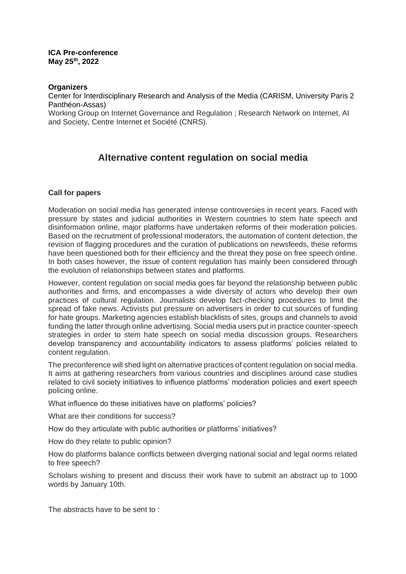### **ICA Pre-conference May 25th, 2022**

### **Organizers**

Center for Interdisciplinary Research and Analysis of the Media (CARISM, University Paris 2 Panthéon-Assas)

Working Group on Internet Governance and Regulation ; Research Network on Internet, AI and Society, Centre Internet et Société (CNRS).

# **Alternative content regulation on social media**

### **Call for papers**

Moderation on social media has generated intense controversies in recent years. Faced with pressure by states and judicial authorities in Western countries to stem hate speech and disinformation online, major platforms have undertaken reforms of their moderation policies. Based on the recruitment of professional moderators, the automation of content detection, the revision of flagging procedures and the curation of publications on newsfeeds, these reforms have been questioned both for their efficiency and the threat they pose on free speech online. In both cases however, the issue of content regulation has mainly been considered through the evolution of relationships between states and platforms.

However, content regulation on social media goes far beyond the relationship between public authorities and firms, and encompasses a wide diversity of actors who develop their own practices of cultural regulation. Journalists develop fact-checking procedures to limit the spread of fake news. Activists put pressure on advertisers in order to cut sources of funding for hate groups. Marketing agencies establish blacklists of sites, groups and channels to avoid funding the latter through online advertising. Social media users put in practice counter-speech strategies in order to stem hate speech on social media discussion groups. Researchers develop transparency and accountability indicators to assess platforms' policies related to content regulation.

The preconference will shed light on alternative practices of content regulation on social media. It aims at gathering researchers from various countries and disciplines around case studies related to civil society initiatives to influence platforms' moderation policies and exert speech policing online.

What influence do these initiatives have on platforms' policies?

What are their conditions for success?

How do they articulate with public authorities or platforms' initiatives?

How do they relate to public opinion?

How do platforms balance conflicts between diverging national social and legal norms related to free speech?

Scholars wishing to present and discuss their work have to submit an abstract up to 1000 words by January 10th.

The abstracts have to be sent to :